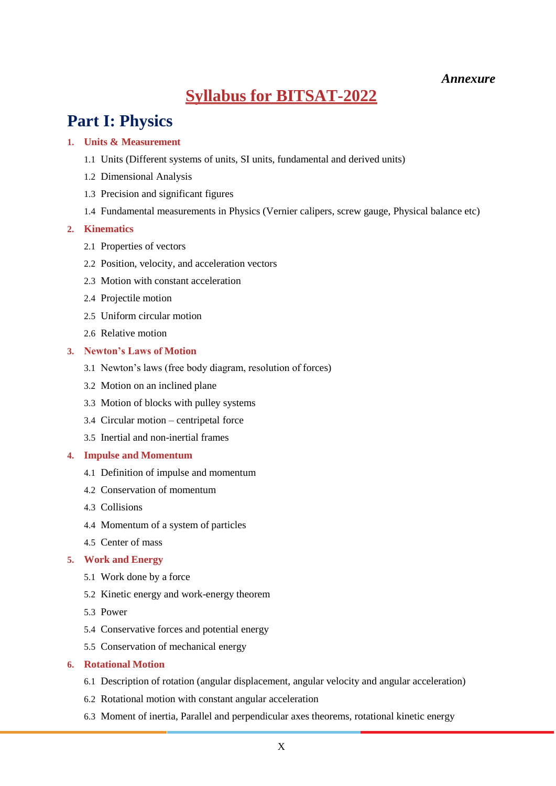## *Annexure*

# **Syllabus for BITSAT-2022**

# **Part I: Physics**

## **1. Units & Measurement**

- 1.1 Units (Different systems of units, SI units, fundamental and derived units)
- 1.2 Dimensional Analysis
- 1.3 Precision and significant figures
- 1.4 Fundamental measurements in Physics (Vernier calipers, screw gauge, Physical balance etc)

### **2. Kinematics**

- 2.1 Properties of vectors
- 2.2 Position, velocity, and acceleration vectors
- 2.3 Motion with constant acceleration
- 2.4 Projectile motion
- 2.5 Uniform circular motion
- 2.6 Relative motion

### **3. Newton's Laws of Motion**

- 3.1 Newton's laws (free body diagram, resolution of forces)
- 3.2 Motion on an inclined plane
- 3.3 Motion of blocks with pulley systems
- 3.4 Circular motion centripetal force
- 3.5 Inertial and non-inertial frames

### **4. Impulse and Momentum**

- 4.1 Definition of impulse and momentum
- 4.2 Conservation of momentum
- 4.3 Collisions
- 4.4 Momentum of a system of particles
- 4.5 Center of mass

## **5. Work and Energy**

- 5.1 Work done by a force
- 5.2 Kinetic energy and work-energy theorem
- 5.3 Power
- 5.4 Conservative forces and potential energy
- 5.5 Conservation of mechanical energy

### **6. Rotational Motion**

- 6.1 Description of rotation (angular displacement, angular velocity and angular acceleration)
- 6.2 Rotational motion with constant angular acceleration
- 6.3 Moment of inertia, Parallel and perpendicular axes theorems, rotational kinetic energy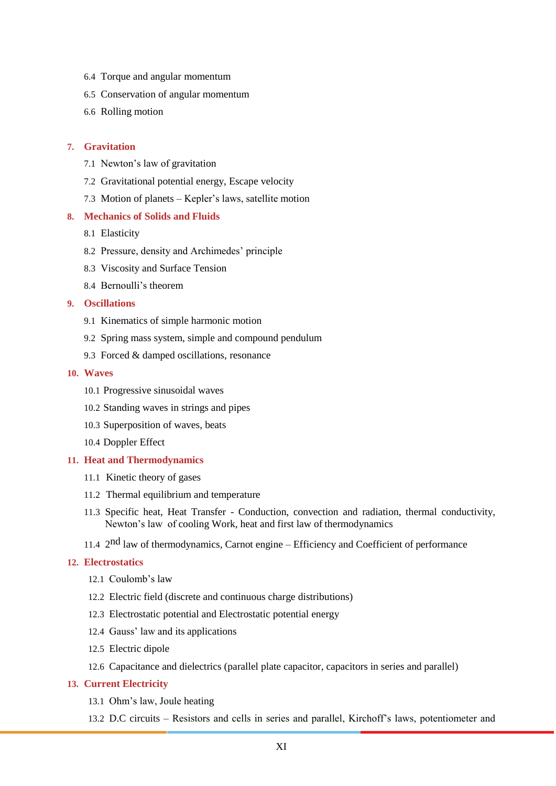- 6.4 Torque and angular momentum
- 6.5 Conservation of angular momentum
- 6.6 Rolling motion

### **7. Gravitation**

- 7.1 Newton's law of gravitation
- 7.2 Gravitational potential energy, Escape velocity
- 7.3 Motion of planets Kepler's laws, satellite motion

### **8. Mechanics of Solids and Fluids**

- 8.1 Elasticity
- 8.2 Pressure, density and Archimedes' principle
- 8.3 Viscosity and Surface Tension
- 8.4 Bernoulli's theorem

## **9. Oscillations**

- 9.1 Kinematics of simple harmonic motion
- 9.2 Spring mass system, simple and compound pendulum
- 9.3 Forced & damped oscillations, resonance

### **10. Waves**

- 10.1 Progressive sinusoidal waves
- 10.2 Standing waves in strings and pipes
- 10.3 Superposition of waves, beats
- 10.4 Doppler Effect

### **11. Heat and Thermodynamics**

- 11.1 Kinetic theory of gases
- 11.2 Thermal equilibrium and temperature
- 11.3 Specific heat, Heat Transfer Conduction, convection and radiation, thermal conductivity, Newton's law of cooling Work, heat and first law of thermodynamics
- 11.4 2<sup>nd</sup> law of thermodynamics, Carnot engine Efficiency and Coefficient of performance

### **12. Electrostatics**

- 12.1 Coulomb's law
- 12.2 Electric field (discrete and continuous charge distributions)
- 12.3 Electrostatic potential and Electrostatic potential energy
- 12.4 Gauss' law and its applications
- 12.5 Electric dipole
- 12.6 Capacitance and dielectrics (parallel plate capacitor, capacitors in series and parallel)

#### **13. Current Electricity**

- 13.1 Ohm's law, Joule heating
- 13.2 D.C circuits Resistors and cells in series and parallel, Kirchoff's laws, potentiometer and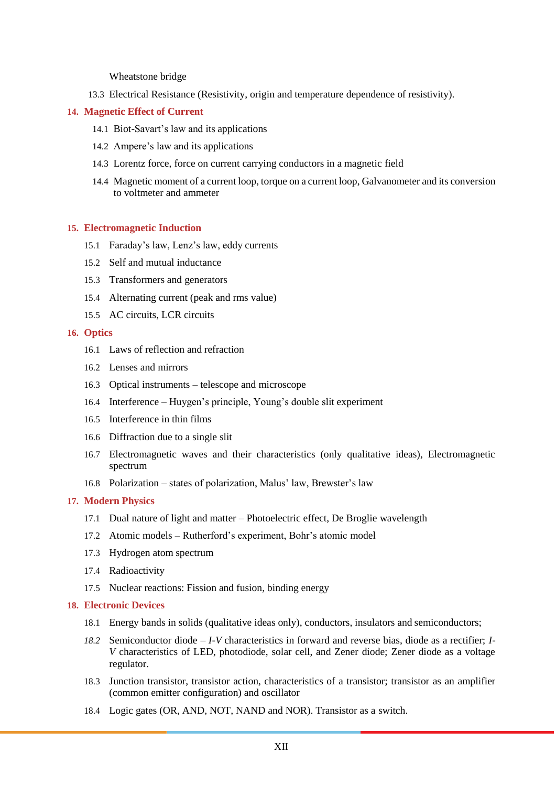Wheatstone bridge

13.3 Electrical Resistance (Resistivity, origin and temperature dependence of resistivity).

### **14. Magnetic Effect of Current**

- 14.1 Biot-Savart's law and its applications
- 14.2 Ampere's law and its applications
- 14.3 Lorentz force, force on current carrying conductors in a magnetic field
- 14.4 Magnetic moment of a current loop, torque on a current loop, Galvanometer and its conversion to voltmeter and ammeter

### **15. Electromagnetic Induction**

- 15.1 Faraday's law, Lenz's law, eddy currents
- 15.2 Self and mutual inductance
- 15.3 Transformers and generators
- 15.4 Alternating current (peak and rms value)
- 15.5 AC circuits, LCR circuits

### **16. Optics**

- 16.1 Laws of reflection and refraction
- 16.2 Lenses and mirrors
- 16.3 Optical instruments telescope and microscope
- 16.4 Interference Huygen's principle, Young's double slit experiment
- 16.5 Interference in thin films
- 16.6 Diffraction due to a single slit
- 16.7 Electromagnetic waves and their characteristics (only qualitative ideas), Electromagnetic spectrum
- 16.8 Polarization states of polarization, Malus' law, Brewster's law

### **17. Modern Physics**

- 17.1 Dual nature of light and matter Photoelectric effect, De Broglie wavelength
- 17.2 Atomic models Rutherford's experiment, Bohr's atomic model
- 17.3 Hydrogen atom spectrum
- 17.4 Radioactivity
- 17.5 Nuclear reactions: Fission and fusion, binding energy

#### **18. Electronic Devices**

- 18.1 Energy bands in solids (qualitative ideas only), conductors, insulators and semiconductors;
- *18.2* Semiconductor diode *I-V* characteristics in forward and reverse bias, diode as a rectifier; *I-V* characteristics of LED, photodiode, solar cell, and Zener diode; Zener diode as a voltage regulator.
- 18.3 Junction transistor, transistor action, characteristics of a transistor; transistor as an amplifier (common emitter configuration) and oscillator
- 18.4 Logic gates (OR, AND, NOT, NAND and NOR). Transistor as a switch.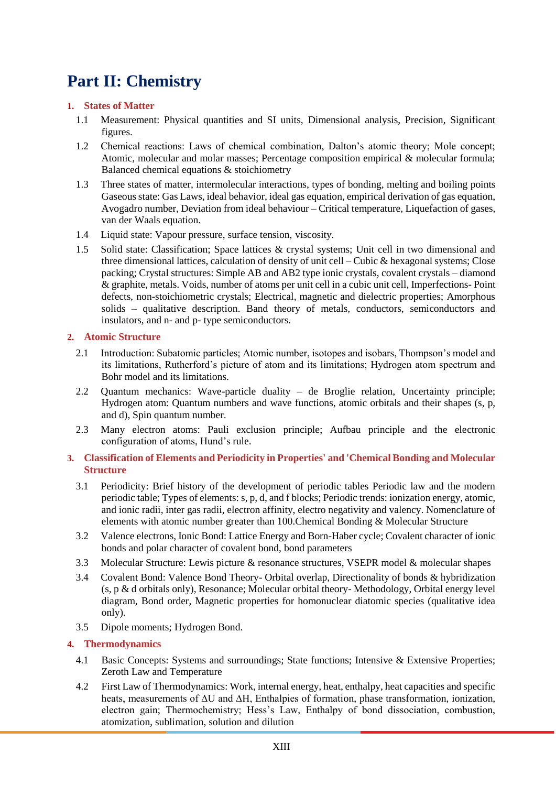# **Part II: Chemistry**

## **1. States of Matter**

- 1.1 Measurement: Physical quantities and SI units, Dimensional analysis, Precision, Significant figures.
- 1.2 Chemical reactions: Laws of chemical combination, Dalton's atomic theory; Mole concept; Atomic, molecular and molar masses; Percentage composition empirical & molecular formula; Balanced chemical equations & stoichiometry
- 1.3 Three states of matter, intermolecular interactions, types of bonding, melting and boiling points Gaseous state: Gas Laws, ideal behavior, ideal gas equation, empirical derivation of gas equation, Avogadro number, Deviation from ideal behaviour – Critical temperature, Liquefaction of gases, van der Waals equation.
- 1.4 Liquid state: Vapour pressure, surface tension, viscosity.
- 1.5 Solid state: Classification; Space lattices & crystal systems; Unit cell in two dimensional and three dimensional lattices, calculation of density of unit cell – Cubic & hexagonal systems; Close packing; Crystal structures: Simple AB and AB2 type ionic crystals, covalent crystals – diamond & graphite, metals. Voids, number of atoms per unit cell in a cubic unit cell, Imperfections- Point defects, non-stoichiometric crystals; Electrical, magnetic and dielectric properties; Amorphous solids – qualitative description. Band theory of metals, conductors, semiconductors and insulators, and n- and p- type semiconductors.

## **2. Atomic Structure**

- 2.1 Introduction: Subatomic particles; Atomic number, isotopes and isobars, Thompson's model and its limitations, Rutherford's picture of atom and its limitations; Hydrogen atom spectrum and Bohr model and its limitations.
- 2.2 Quantum mechanics: Wave-particle duality de Broglie relation, Uncertainty principle; Hydrogen atom: Quantum numbers and wave functions, atomic orbitals and their shapes (s, p, and d), Spin quantum number.
- 2.3 Many electron atoms: Pauli exclusion principle; Aufbau principle and the electronic configuration of atoms, Hund's rule.

## **3. Classification of Elements and Periodicity in Properties' and 'Chemical Bonding and Molecular Structure**

- 3.1 Periodicity: Brief history of the development of periodic tables Periodic law and the modern periodic table; Types of elements: s, p, d, and f blocks; Periodic trends: ionization energy, atomic, and ionic radii, inter gas radii, electron affinity, electro negativity and valency. Nomenclature of elements with atomic number greater than 100.Chemical Bonding & Molecular Structure
- 3.2 Valence electrons, Ionic Bond: Lattice Energy and Born-Haber cycle; Covalent character of ionic bonds and polar character of covalent bond, bond parameters
- 3.3 Molecular Structure: Lewis picture & resonance structures, VSEPR model & molecular shapes
- 3.4 Covalent Bond: Valence Bond Theory- Orbital overlap, Directionality of bonds & hybridization (s, p & d orbitals only), Resonance; Molecular orbital theory- Methodology, Orbital energy level diagram, Bond order, Magnetic properties for homonuclear diatomic species (qualitative idea only).
- 3.5 Dipole moments; Hydrogen Bond.

## **4. Thermodynamics**

- 4.1 Basic Concepts: Systems and surroundings; State functions; Intensive & Extensive Properties; Zeroth Law and Temperature
- 4.2 First Law of Thermodynamics: Work, internal energy, heat, enthalpy, heat capacities and specific heats, measurements of ∆U and ∆H, Enthalpies of formation, phase transformation, ionization, electron gain; Thermochemistry; Hess's Law, Enthalpy of bond dissociation, combustion, atomization, sublimation, solution and dilution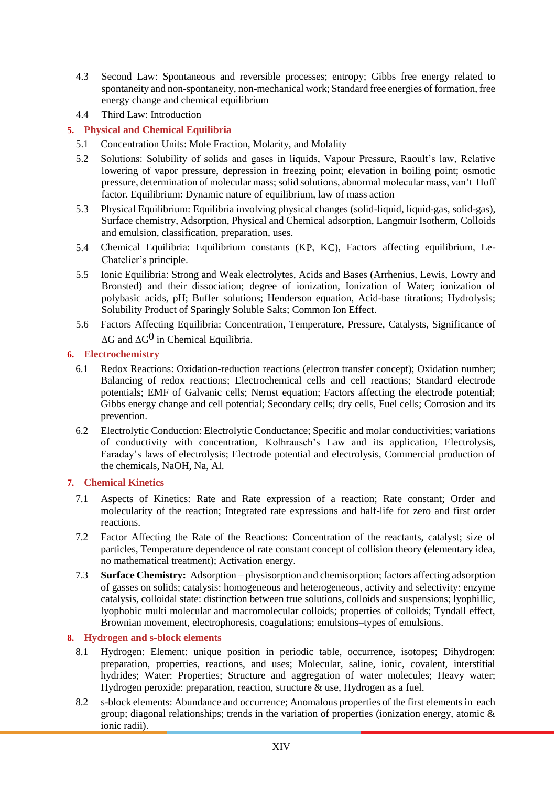- 4.3 Second Law: Spontaneous and reversible processes; entropy; Gibbs free energy related to spontaneity and non-spontaneity, non-mechanical work; Standard free energies of formation, free energy change and chemical equilibrium
- 4.4 Third Law: Introduction

## **5. Physical and Chemical Equilibria**

- 5.1 Concentration Units: Mole Fraction, Molarity, and Molality
- 5.2 Solutions: Solubility of solids and gases in liquids, Vapour Pressure, Raoult's law, Relative lowering of vapor pressure, depression in freezing point; elevation in boiling point; osmotic pressure, determination of molecular mass; solid solutions, abnormal molecular mass, van't Hoff factor. Equilibrium: Dynamic nature of equilibrium, law of mass action
- 5.3 Physical Equilibrium: Equilibria involving physical changes (solid-liquid, liquid-gas, solid-gas), Surface chemistry, Adsorption, Physical and Chemical adsorption, Langmuir Isotherm, Colloids and emulsion, classification, preparation, uses.
- 5.4 Chemical Equilibria: Equilibrium constants (KP, KC), Factors affecting equilibrium, Le-Chatelier's principle.
- 5.5 Ionic Equilibria: Strong and Weak electrolytes, Acids and Bases (Arrhenius, Lewis, Lowry and Bronsted) and their dissociation; degree of ionization, Ionization of Water; ionization of polybasic acids, pH; Buffer solutions; Henderson equation, Acid-base titrations; Hydrolysis; Solubility Product of Sparingly Soluble Salts; Common Ion Effect.
- 5.6 Factors Affecting Equilibria: Concentration, Temperature, Pressure, Catalysts, Significance of  $\Delta G$  and  $\Delta G^0$  in Chemical Equilibria.

## **6. Electrochemistry**

- 6.1 Redox Reactions: Oxidation-reduction reactions (electron transfer concept); Oxidation number; Balancing of redox reactions; Electrochemical cells and cell reactions; Standard electrode potentials; EMF of Galvanic cells; Nernst equation; Factors affecting the electrode potential; Gibbs energy change and cell potential; Secondary cells; dry cells, Fuel cells; Corrosion and its prevention.
- 6.2 Electrolytic Conduction: Electrolytic Conductance; Specific and molar conductivities; variations of conductivity with concentration, Kolhrausch's Law and its application, Electrolysis, Faraday's laws of electrolysis; Electrode potential and electrolysis, Commercial production of the chemicals, NaOH, Na, Al.

### **7. Chemical Kinetics**

- 7.1 Aspects of Kinetics: Rate and Rate expression of a reaction; Rate constant; Order and molecularity of the reaction; Integrated rate expressions and half-life for zero and first order reactions.
- 7.2 Factor Affecting the Rate of the Reactions: Concentration of the reactants, catalyst; size of particles, Temperature dependence of rate constant concept of collision theory (elementary idea, no mathematical treatment); Activation energy.
- 7.3 **Surface Chemistry:** Adsorption physisorption and chemisorption; factors affecting adsorption of gasses on solids; catalysis: homogeneous and heterogeneous, activity and selectivity: enzyme catalysis, colloidal state: distinction between true solutions, colloids and suspensions; lyophillic, lyophobic multi molecular and macromolecular colloids; properties of colloids; Tyndall effect, Brownian movement, electrophoresis, coagulations; emulsions–types of emulsions.

## **8. Hydrogen and s-block elements**

- 8.1 Hydrogen: Element: unique position in periodic table, occurrence, isotopes; Dihydrogen: preparation, properties, reactions, and uses; Molecular, saline, ionic, covalent, interstitial hydrides; Water: Properties; Structure and aggregation of water molecules; Heavy water; Hydrogen peroxide: preparation, reaction, structure & use, Hydrogen as a fuel.
- 8.2 s-block elements: Abundance and occurrence; Anomalous properties of the first elements in each group; diagonal relationships; trends in the variation of properties (ionization energy, atomic & ionic radii).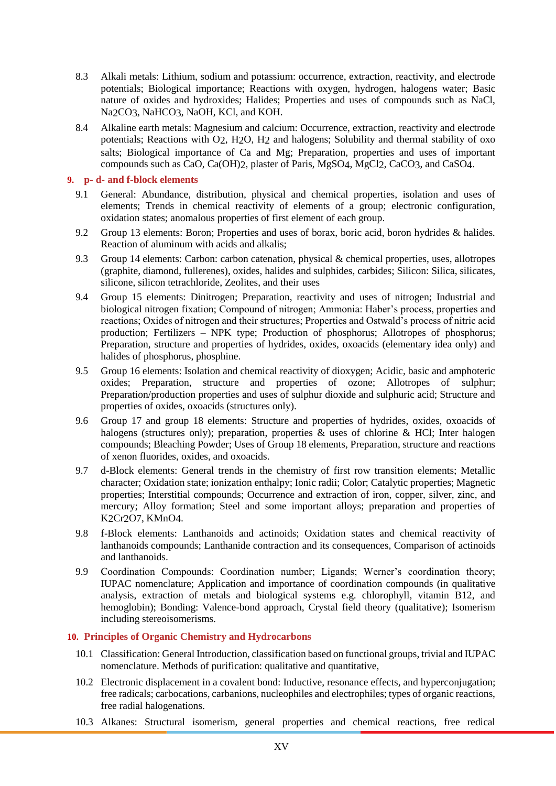- 8.3 Alkali metals: Lithium, sodium and potassium: occurrence, extraction, reactivity, and electrode potentials; Biological importance; Reactions with oxygen, hydrogen, halogens water; Basic nature of oxides and hydroxides; Halides; Properties and uses of compounds such as NaCl, Na<sub>2</sub>CO<sub>3</sub>, Na<sub>HCO<sub>3</sub>, NaO<sub>H</sub>, KC<sub>l</sub>, and KO<sub>H</sub>.</sub>
- 8.4 Alkaline earth metals: Magnesium and calcium: Occurrence, extraction, reactivity and electrode potentials; Reactions with O2, H2O, H2 and halogens; Solubility and thermal stability of oxo salts: Biological importance of Ca and Mg; Preparation, properties and uses of important compounds such as CaO, Ca(OH)2, plaster of Paris, MgSO4, MgCl2, CaCO3, and CaSO4.

### **9. p- d- and f-block elements**

- 9.1 General: Abundance, distribution, physical and chemical properties, isolation and uses of elements; Trends in chemical reactivity of elements of a group; electronic configuration, oxidation states; anomalous properties of first element of each group.
- 9.2 Group 13 elements: Boron; Properties and uses of borax, boric acid, boron hydrides & halides. Reaction of aluminum with acids and alkalis;
- 9.3 Group 14 elements: Carbon: carbon catenation, physical & chemical properties, uses, allotropes (graphite, diamond, fullerenes), oxides, halides and sulphides, carbides; Silicon: Silica, silicates, silicone, silicon tetrachloride, Zeolites, and their uses
- 9.4 Group 15 elements: Dinitrogen; Preparation, reactivity and uses of nitrogen; Industrial and biological nitrogen fixation; Compound of nitrogen; Ammonia: Haber's process, properties and reactions; Oxides of nitrogen and their structures; Properties and Ostwald's process of nitric acid production; Fertilizers – NPK type; Production of phosphorus; Allotropes of phosphorus; Preparation, structure and properties of hydrides, oxides, oxoacids (elementary idea only) and halides of phosphorus, phosphine.
- 9.5 Group 16 elements: Isolation and chemical reactivity of dioxygen; Acidic, basic and amphoteric oxides; Preparation, structure and properties of ozone; Allotropes of sulphur; Preparation/production properties and uses of sulphur dioxide and sulphuric acid; Structure and properties of oxides, oxoacids (structures only).
- 9.6 Group 17 and group 18 elements: Structure and properties of hydrides, oxides, oxoacids of halogens (structures only); preparation, properties & uses of chlorine & HCl; Inter halogen compounds; Bleaching Powder; Uses of Group 18 elements, Preparation, structure and reactions of xenon fluorides, oxides, and oxoacids.
- 9.7 d-Block elements: General trends in the chemistry of first row transition elements; Metallic character; Oxidation state; ionization enthalpy; Ionic radii; Color; Catalytic properties; Magnetic properties; Interstitial compounds; Occurrence and extraction of iron, copper, silver, zinc, and mercury; Alloy formation; Steel and some important alloys; preparation and properties of K2Cr2O7, KMnO4.
- 9.8 f-Block elements: Lanthanoids and actinoids; Oxidation states and chemical reactivity of lanthanoids compounds; Lanthanide contraction and its consequences, Comparison of actinoids and lanthanoids.
- 9.9 Coordination Compounds: Coordination number; Ligands; Werner's coordination theory; IUPAC nomenclature; Application and importance of coordination compounds (in qualitative analysis, extraction of metals and biological systems e.g. chlorophyll, vitamin B12, and hemoglobin); Bonding: Valence-bond approach, Crystal field theory (qualitative); Isomerism including stereoisomerisms.

### **10. Principles of Organic Chemistry and Hydrocarbons**

- 10.1 Classification: General Introduction, classification based on functional groups, trivial and IUPAC nomenclature. Methods of purification: qualitative and quantitative,
- 10.2 Electronic displacement in a covalent bond: Inductive, resonance effects, and hyperconjugation; free radicals; carbocations, carbanions, nucleophiles and electrophiles; types of organic reactions, free radial halogenations.
- 10.3 Alkanes: Structural isomerism, general properties and chemical reactions, free redical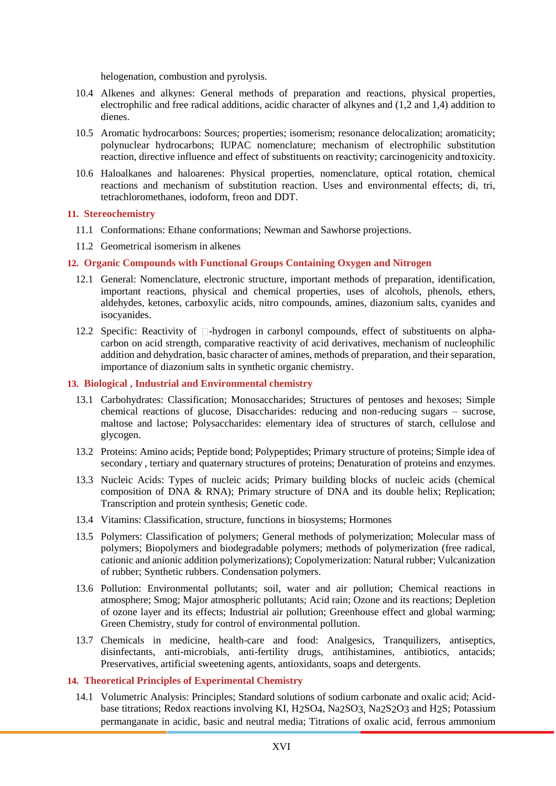helogenation, combustion and pyrolysis.

- 10.4 Alkenes and alkynes: General methods of preparation and reactions, physical properties, electrophilic and free radical additions, acidic character of alkynes and (1,2 and 1,4) addition to dienes.
- 10.5 Aromatic hydrocarbons: Sources; properties; isomerism; resonance delocalization; aromaticity; polynuclear hydrocarbons; IUPAC nomenclature; mechanism of electrophilic substitution reaction, directive influence and effect of substituents on reactivity; carcinogenicity and toxicity.
- 10.6 Haloalkanes and haloarenes: Physical properties, nomenclature, optical rotation, chemical reactions and mechanism of substitution reaction. Uses and environmental effects; di, tri, tetrachloromethanes, iodoform, freon and DDT.

### **11. Stereochemistry**

- 11.1 Conformations: Ethane conformations; Newman and Sawhorse projections.
- 11.2 Geometrical isomerism in alkenes

### **12. Organic Compounds with Functional Groups Containing Oxygen and Nitrogen**

- 12.1 General: Nomenclature, electronic structure, important methods of preparation, identification, important reactions, physical and chemical properties, uses of alcohols, phenols, ethers, aldehydes, ketones, carboxylic acids, nitro compounds, amines, diazonium salts, cyanides and isocyanides.
- 12.2 Specific: Reactivity of  $\Box$ -hydrogen in carbonyl compounds, effect of substituents on alphacarbon on acid strength, comparative reactivity of acid derivatives, mechanism of nucleophilic addition and dehydration, basic character of amines, methods of preparation, and their separation, importance of diazonium salts in synthetic organic chemistry.

### **13. Biological , Industrial and Environmental chemistry**

- 13.1 Carbohydrates: Classification; Monosaccharides; Structures of pentoses and hexoses; Simple chemical reactions of glucose, Disaccharides: reducing and non-reducing sugars – sucrose, maltose and lactose; Polysaccharides: elementary idea of structures of starch, cellulose and glycogen.
- 13.2 Proteins: Amino acids; Peptide bond; Polypeptides; Primary structure of proteins; Simple idea of secondary , tertiary and quaternary structures of proteins; Denaturation of proteins and enzymes.
- 13.3 Nucleic Acids: Types of nucleic acids; Primary building blocks of nucleic acids (chemical composition of DNA & RNA); Primary structure of DNA and its double helix; Replication; Transcription and protein synthesis; Genetic code.
- 13.4 Vitamins: Classification, structure, functions in biosystems; Hormones
- 13.5 Polymers: Classification of polymers; General methods of polymerization; Molecular mass of polymers; Biopolymers and biodegradable polymers; methods of polymerization (free radical, cationic and anionic addition polymerizations); Copolymerization: Natural rubber; Vulcanization of rubber; Synthetic rubbers. Condensation polymers.
- 13.6 Pollution: Environmental pollutants; soil, water and air pollution; Chemical reactions in atmosphere; Smog; Major atmospheric pollutants; Acid rain; Ozone and its reactions; Depletion of ozone layer and its effects; Industrial air pollution; Greenhouse effect and global warming; Green Chemistry, study for control of environmental pollution.
- 13.7 Chemicals in medicine, health-care and food: Analgesics, Tranquilizers, antiseptics, disinfectants, anti-microbials, anti-fertility drugs, antihistamines, antibiotics, antacids; Preservatives, artificial sweetening agents, antioxidants, soaps and detergents.

### **14. Theoretical Principles of Experimental Chemistry**

14.1 Volumetric Analysis: Principles; Standard solutions of sodium carbonate and oxalic acid; Acidbase titrations; Redox reactions involving KI, H2SO4, Na2SO3, Na2S2O3 and H2S; Potassium permanganate in acidic, basic and neutral media; Titrations of oxalic acid, ferrous ammonium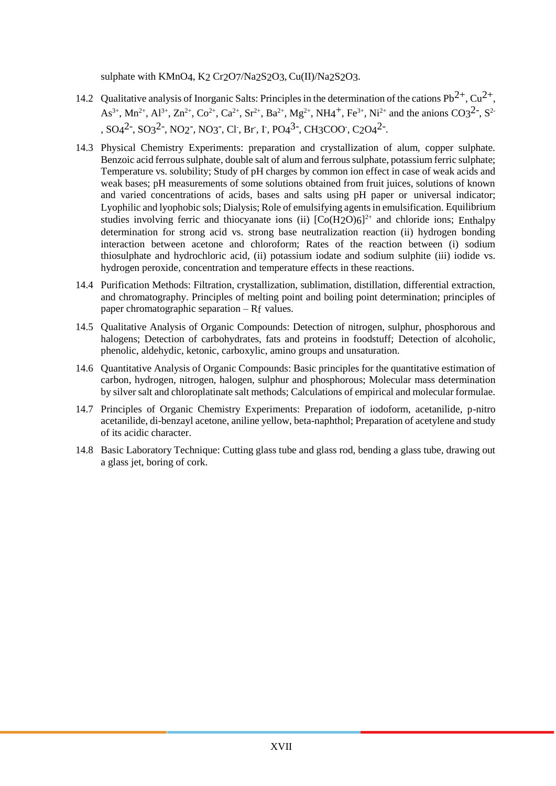sulphate with KMnO4, K2 Cr2O7/Na2S2O3, Cu(II)/Na2S2O3.

- 14.2 Qualitative analysis of Inorganic Salts: Principles in the determination of the cations Pb<sup>2+</sup>, Cu<sup>2+</sup>,  $As^{3+}$ , Mn<sup>2+</sup>, Al<sup>3+</sup>, Zn<sup>2+</sup>, Co<sup>2+</sup>, Ca<sup>2+</sup>, Sr<sup>2+</sup>, Ba<sup>2+</sup>, Mg<sup>2+</sup>, NH4<sup>+</sup>, Fe<sup>3+</sup>, Ni<sup>2+</sup> and the anions CO3<sup>2-</sup>, S<sup>2</sup> ,  $SO_4^2$ <sup>-</sup>,  $SO_3^2$ <sup>-</sup>,  $NO_2$ <sup>-</sup>,  $NO_3$ <sup>-</sup>, Cl<sup>-</sup>, Br, I<sup>-</sup>, PO<sub>4</sub><sup>3-</sup>, CH<sub>3</sub>COO<sup>-</sup>, C<sub>2</sub>O<sub>4</sub><sup>2</sup><sup>-</sup>.
- 14.3 Physical Chemistry Experiments: preparation and crystallization of alum, copper sulphate. Benzoic acid ferrous sulphate, double salt of alum and ferrous sulphate, potassium ferric sulphate; Temperature vs. solubility; Study of pH charges by common ion effect in case of weak acids and weak bases; pH measurements of some solutions obtained from fruit juices, solutions of known and varied concentrations of acids, bases and salts using pH paper or universal indicator; Lyophilic and lyophobic sols; Dialysis; Role of emulsifying agents in emulsification. Equilibrium studies involving ferric and thiocyanate ions (ii)  $[Co(H2O)6]^{2+}$  and chloride ions; Enthalpy determination for strong acid vs. strong base neutralization reaction (ii) hydrogen bonding interaction between acetone and chloroform; Rates of the reaction between (i) sodium thiosulphate and hydrochloric acid, (ii) potassium iodate and sodium sulphite (iii) iodide vs. hydrogen peroxide, concentration and temperature effects in these reactions.
- 14.4 Purification Methods: Filtration, crystallization, sublimation, distillation, differential extraction, and chromatography. Principles of melting point and boiling point determination; principles of paper chromatographic separation – Rf values.
- 14.5 Qualitative Analysis of Organic Compounds: Detection of nitrogen, sulphur, phosphorous and halogens; Detection of carbohydrates, fats and proteins in foodstuff; Detection of alcoholic, phenolic, aldehydic, ketonic, carboxylic, amino groups and unsaturation.
- 14.6 Quantitative Analysis of Organic Compounds: Basic principles for the quantitative estimation of carbon, hydrogen, nitrogen, halogen, sulphur and phosphorous; Molecular mass determination by silver salt and chloroplatinate salt methods; Calculations of empirical and molecular formulae.
- 14.7 Principles of Organic Chemistry Experiments: Preparation of iodoform, acetanilide, p-nitro acetanilide, di-benzayl acetone, aniline yellow, beta-naphthol; Preparation of acetylene and study of its acidic character.
- 14.8 Basic Laboratory Technique: Cutting glass tube and glass rod, bending a glass tube, drawing out a glass jet, boring of cork.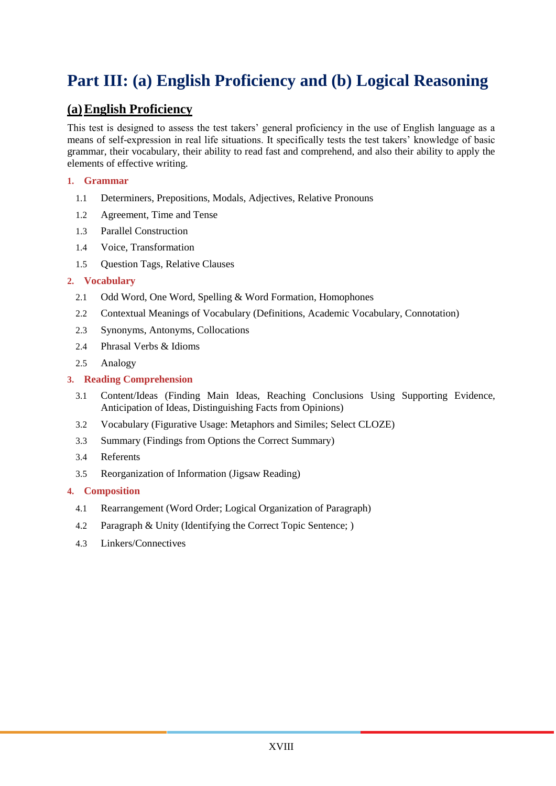# **Part III: (a) English Proficiency and (b) Logical Reasoning**

## **(a)English Proficiency**

This test is designed to assess the test takers' general proficiency in the use of English language as a means of self-expression in real life situations. It specifically tests the test takers' knowledge of basic grammar, their vocabulary, their ability to read fast and comprehend, and also their ability to apply the elements of effective writing.

## **1. Grammar**

- 1.1 Determiners, Prepositions, Modals, Adjectives, Relative Pronouns
- 1.2 Agreement, Time and Tense
- 1.3 Parallel Construction
- 1.4 Voice, Transformation
- 1.5 Question Tags, Relative Clauses

## **2. Vocabulary**

- 2.1 Odd Word, One Word, Spelling & Word Formation, Homophones
- 2.2 Contextual Meanings of Vocabulary (Definitions, Academic Vocabulary, Connotation)
- 2.3 Synonyms, Antonyms, Collocations
- 2.4 Phrasal Verbs & Idioms
- 2.5 Analogy

## **3. Reading Comprehension**

- 3.1 Content/Ideas (Finding Main Ideas, Reaching Conclusions Using Supporting Evidence, Anticipation of Ideas, Distinguishing Facts from Opinions)
- 3.2 Vocabulary (Figurative Usage: Metaphors and Similes; Select CLOZE)
- 3.3 Summary (Findings from Options the Correct Summary)
- 3.4 Referents
- 3.5 Reorganization of Information (Jigsaw Reading)

## **4. Composition**

- 4.1 Rearrangement (Word Order; Logical Organization of Paragraph)
- 4.2 Paragraph & Unity (Identifying the Correct Topic Sentence; )
- 4.3 Linkers/Connectives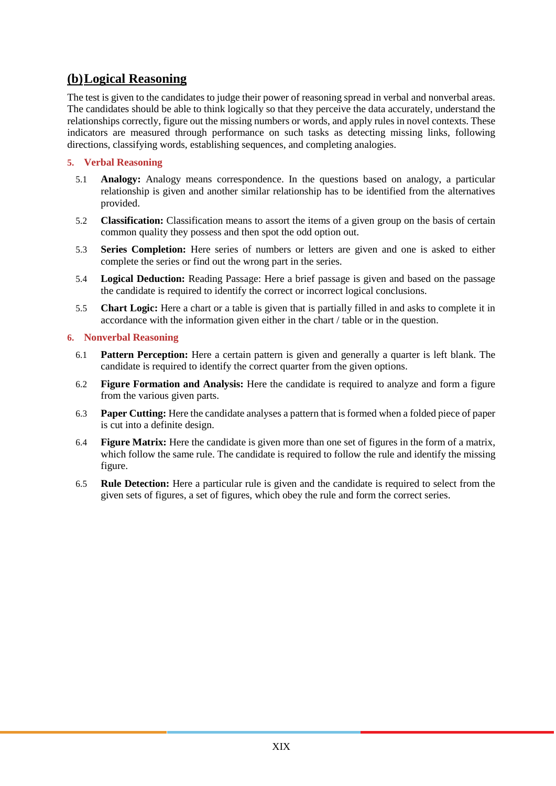## **(b)Logical Reasoning**

The test is given to the candidates to judge their power of reasoning spread in verbal and nonverbal areas. The candidates should be able to think logically so that they perceive the data accurately, understand the relationships correctly, figure out the missing numbers or words, and apply rules in novel contexts. These indicators are measured through performance on such tasks as detecting missing links, following directions, classifying words, establishing sequences, and completing analogies.

## **5. Verbal Reasoning**

- 5.1 **Analogy:** Analogy means correspondence. In the questions based on analogy, a particular relationship is given and another similar relationship has to be identified from the alternatives provided.
- 5.2 **Classification:** Classification means to assort the items of a given group on the basis of certain common quality they possess and then spot the odd option out.
- 5.3 **Series Completion:** Here series of numbers or letters are given and one is asked to either complete the series or find out the wrong part in the series.
- 5.4 **Logical Deduction:** Reading Passage: Here a brief passage is given and based on the passage the candidate is required to identify the correct or incorrect logical conclusions.
- 5.5 **Chart Logic:** Here a chart or a table is given that is partially filled in and asks to complete it in accordance with the information given either in the chart / table or in the question.

## **6. Nonverbal Reasoning**

- 6.1 **Pattern Perception:** Here a certain pattern is given and generally a quarter is left blank. The candidate is required to identify the correct quarter from the given options.
- 6.2 **Figure Formation and Analysis:** Here the candidate is required to analyze and form a figure from the various given parts.
- 6.3 **Paper Cutting:** Here the candidate analyses a pattern that is formed when a folded piece of paper is cut into a definite design.
- 6.4 **Figure Matrix:** Here the candidate is given more than one set of figures in the form of a matrix, which follow the same rule. The candidate is required to follow the rule and identify the missing figure.
- 6.5 **Rule Detection:** Here a particular rule is given and the candidate is required to select from the given sets of figures, a set of figures, which obey the rule and form the correct series.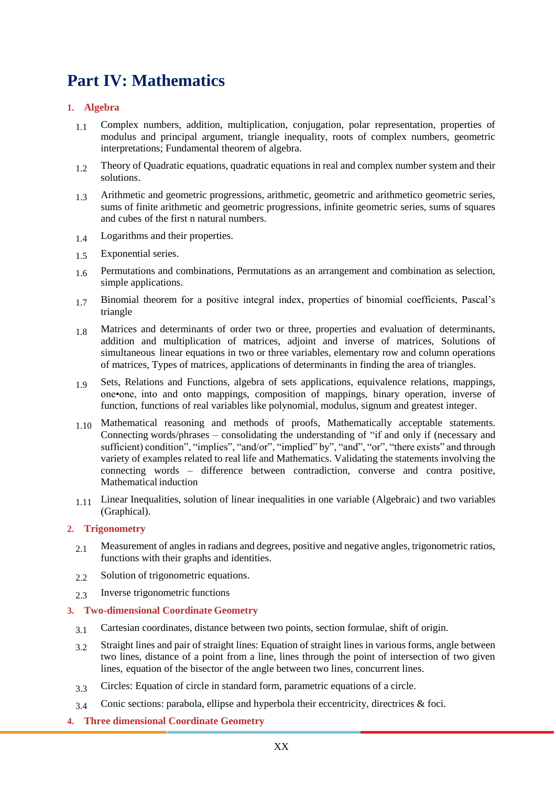# **Part IV: Mathematics**

## **1. Algebra**

- 1.1 Complex numbers, addition, multiplication, conjugation, polar representation, properties of modulus and principal argument, triangle inequality, roots of complex numbers, geometric interpretations; Fundamental theorem of algebra.
- 1.2 Theory of Quadratic equations, quadratic equations in real and complex number system and their solutions.
- 1.3 Arithmetic and geometric progressions, arithmetic, geometric and arithmetico geometric series, sums of finite arithmetic and geometric progressions, infinite geometric series, sums of squares and cubes of the first n natural numbers.
- 1.4 Logarithms and their properties.
- 1.5 Exponential series.
- 1.6 Permutations and combinations, Permutations as an arrangement and combination as selection, simple applications.
- 1.7 Binomial theorem for a positive integral index, properties of binomial coefficients, Pascal's triangle
- 1.8 Matrices and determinants of order two or three, properties and evaluation of determinants, addition and multiplication of matrices, adjoint and inverse of matrices, Solutions of simultaneous linear equations in two or three variables, elementary row and column operations of matrices, Types of matrices, applications of determinants in finding the area of triangles.
- 1.9 Sets, Relations and Functions, algebra of sets applications, equivalence relations, mappings, one•one, into and onto mappings, composition of mappings, binary operation, inverse of function, functions of real variables like polynomial, modulus, signum and greatest integer.
- 1.10 Mathematical reasoning and methods of proofs, Mathematically acceptable statements. Connecting words/phrases – consolidating the understanding of "if and only if (necessary and sufficient) condition", "implies", "and/or", "implied" by", "and", "or", "there exists" and through variety of examples related to real life and Mathematics. Validating the statements involving the connecting words – difference between contradiction, converse and contra positive, Mathematical induction
- 1.11 Linear Inequalities, solution of linear inequalities in one variable (Algebraic) and two variables (Graphical).

## **2. Trigonometry**

- 2.1 Measurement of angles in radians and degrees, positive and negative angles, trigonometric ratios, functions with their graphs and identities.
- 2.2 Solution of trigonometric equations.
- 2.3 Inverse trigonometric functions

## **3. Two-dimensional Coordinate Geometry**

- 3.1 Cartesian coordinates, distance between two points, section formulae, shift of origin.
- 3.2 Straight lines and pair of straight lines: Equation of straight lines in various forms, angle between two lines, distance of a point from a line, lines through the point of intersection of two given lines, equation of the bisector of the angle between two lines, concurrent lines.
- 3.3 Circles: Equation of circle in standard form, parametric equations of a circle.
- 3.4 Conic sections: parabola, ellipse and hyperbola their eccentricity, directrices & foci.
- **4. Three dimensional Coordinate Geometry**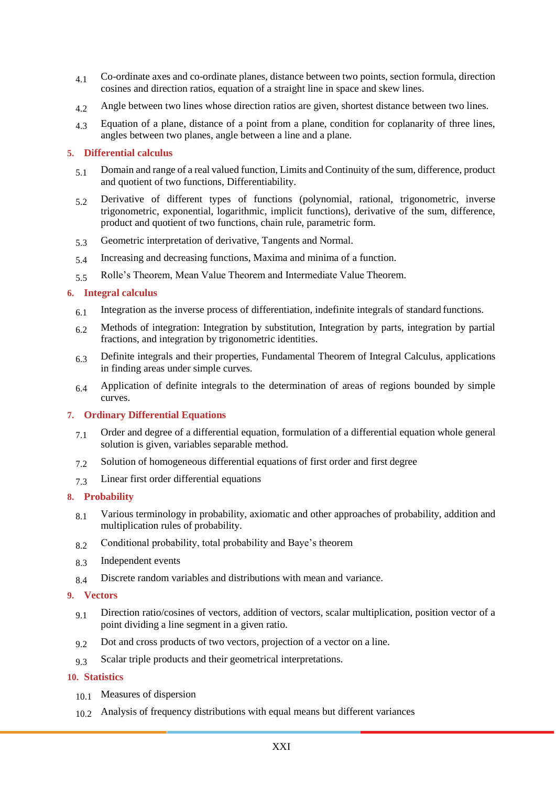- 4.1 Co-ordinate axes and co-ordinate planes, distance between two points, section formula, direction cosines and direction ratios, equation of a straight line in space and skew lines.
- 4.2 Angle between two lines whose direction ratios are given, shortest distance between two lines.
- 4.3 Equation of a plane, distance of a point from a plane, condition for coplanarity of three lines, angles between two planes, angle between a line and a plane.

### **5. Differential calculus**

- 5.1 Domain and range of a real valued function, Limits and Continuity of the sum, difference, product and quotient of two functions, Differentiability.
- 5.2 Derivative of different types of functions (polynomial, rational, trigonometric, inverse trigonometric, exponential, logarithmic, implicit functions), derivative of the sum, difference, product and quotient of two functions, chain rule, parametric form.
- 5.3 Geometric interpretation of derivative, Tangents and Normal.
- 5.4 Increasing and decreasing functions, Maxima and minima of a function.
- 5.5 Rolle's Theorem, Mean Value Theorem and Intermediate Value Theorem.

### **6. Integral calculus**

- 6.1 Integration as the inverse process of differentiation, indefinite integrals of standard functions.
- 6.2 Methods of integration: Integration by substitution, Integration by parts, integration by partial fractions, and integration by trigonometric identities.
- 6.3 Definite integrals and their properties, Fundamental Theorem of Integral Calculus, applications in finding areas under simple curves.
- 6.4 Application of definite integrals to the determination of areas of regions bounded by simple curves.

## **7. Ordinary Differential Equations**

- 7.1 Order and degree of a differential equation, formulation of a differential equation whole general solution is given, variables separable method.
- 7.2 Solution of homogeneous differential equations of first order and first degree
- 7.3 Linear first order differential equations

## **8. Probability**

- 8.1 Various terminology in probability, axiomatic and other approaches of probability, addition and multiplication rules of probability.
- 8.2 Conditional probability, total probability and Baye's theorem
- 8.3 Independent events
- 8.4 Discrete random variables and distributions with mean and variance.

### **9. Vectors**

- 9.1 Direction ratio/cosines of vectors, addition of vectors, scalar multiplication, position vector of a point dividing a line segment in a given ratio.
- 9.2 Dot and cross products of two vectors, projection of a vector on a line.
- 9.3 Scalar triple products and their geometrical interpretations.

### **10. Statistics**

- 10.1 Measures of dispersion
- 10.2 Analysis of frequency distributions with equal means but different variances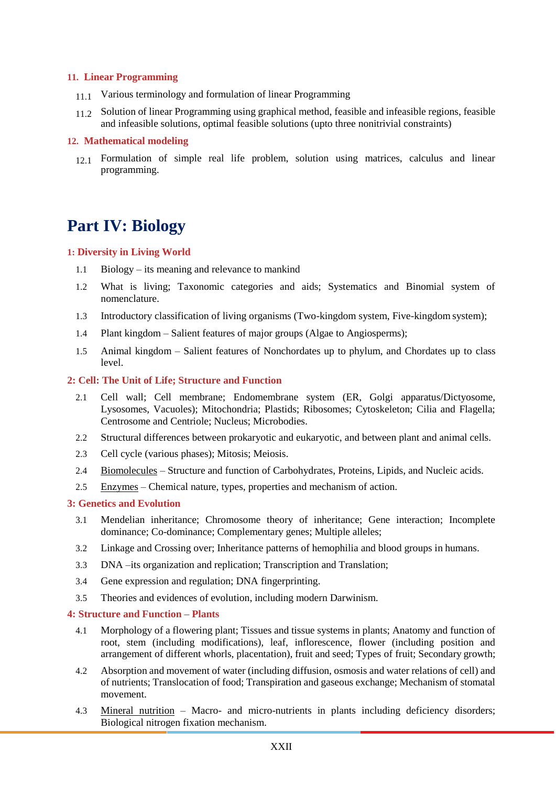### **11. Linear Programming**

- 11.1 Various terminology and formulation of linear Programming
- 11.2 Solution of linear Programming using graphical method, feasible and infeasible regions, feasible and infeasible solutions, optimal feasible solutions (upto three nonitrivial constraints)

### **12. Mathematical modeling**

12.1 Formulation of simple real life problem, solution using matrices, calculus and linear programming.

# **Part IV: Biology**

### **1: Diversity in Living World**

- 1.1 Biology its meaning and relevance to mankind
- 1.2 What is living; Taxonomic categories and aids; Systematics and Binomial system of nomenclature.
- 1.3 Introductory classification of living organisms (Two-kingdom system, Five-kingdom system);
- 1.4 Plant kingdom Salient features of major groups (Algae to Angiosperms);
- 1.5 Animal kingdom Salient features of Nonchordates up to phylum, and Chordates up to class level.

### **2: Cell: The Unit of Life; Structure and Function**

- 2.1 Cell wall; Cell membrane; Endomembrane system (ER, Golgi apparatus/Dictyosome, Lysosomes, Vacuoles); Mitochondria; Plastids; Ribosomes; Cytoskeleton; Cilia and Flagella; Centrosome and Centriole; Nucleus; Microbodies.
- 2.2 Structural differences between prokaryotic and eukaryotic, and between plant and animal cells.
- 2.3 Cell cycle (various phases); Mitosis; Meiosis.
- 2.4 Biomolecules Structure and function of Carbohydrates, Proteins, Lipids, and Nucleic acids.
- 2.5 Enzymes Chemical nature, types, properties and mechanism of action.

### **3: Genetics and Evolution**

- 3.1 Mendelian inheritance; Chromosome theory of inheritance; Gene interaction; Incomplete dominance; Co-dominance; Complementary genes; Multiple alleles;
- 3.2 Linkage and Crossing over; Inheritance patterns of hemophilia and blood groups in humans.
- 3.3 DNA –its organization and replication; Transcription and Translation;
- 3.4 Gene expression and regulation; DNA fingerprinting.
- 3.5 Theories and evidences of evolution, including modern Darwinism.

#### **4: Structure and Function – Plants**

- 4.1 Morphology of a flowering plant; Tissues and tissue systems in plants; Anatomy and function of root, stem (including modifications), leaf, inflorescence, flower (including position and arrangement of different whorls, placentation), fruit and seed; Types of fruit; Secondary growth;
- 4.2 Absorption and movement of water (including diffusion, osmosis and water relations of cell) and of nutrients; Translocation of food; Transpiration and gaseous exchange; Mechanism of stomatal movement.
- 4.3 Mineral nutrition Macro- and micro-nutrients in plants including deficiency disorders; Biological nitrogen fixation mechanism.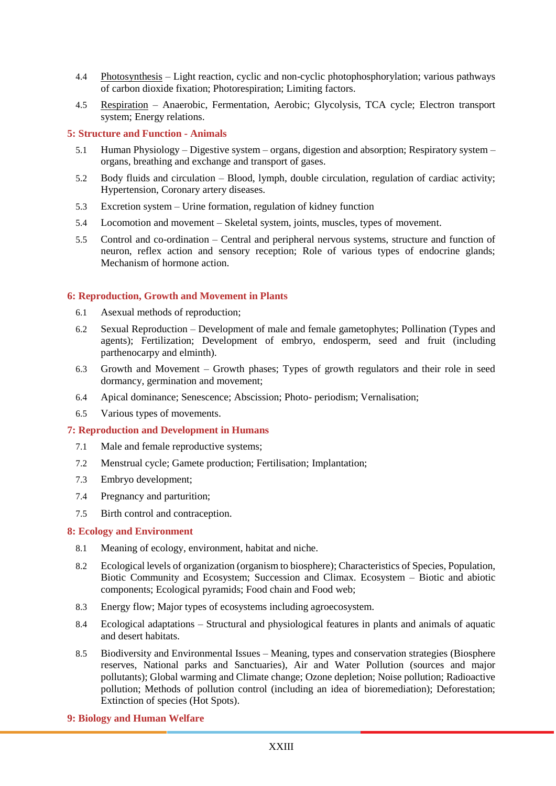- 4.4 Photosynthesis Light reaction, cyclic and non-cyclic photophosphorylation; various pathways of carbon dioxide fixation; Photorespiration; Limiting factors.
- 4.5 Respiration Anaerobic, Fermentation, Aerobic; Glycolysis, TCA cycle; Electron transport system; Energy relations.

## **5: Structure and Function - Animals**

- 5.1 Human Physiology Digestive system organs, digestion and absorption; Respiratory system organs, breathing and exchange and transport of gases.
- 5.2 Body fluids and circulation Blood, lymph, double circulation, regulation of cardiac activity; Hypertension, Coronary artery diseases.
- 5.3 Excretion system Urine formation, regulation of kidney function
- 5.4 Locomotion and movement Skeletal system, joints, muscles, types of movement.
- 5.5 Control and co-ordination Central and peripheral nervous systems, structure and function of neuron, reflex action and sensory reception; Role of various types of endocrine glands; Mechanism of hormone action.

### **6: Reproduction, Growth and Movement in Plants**

- 6.1 Asexual methods of reproduction;
- 6.2 Sexual Reproduction Development of male and female gametophytes; Pollination (Types and agents); Fertilization; Development of embryo, endosperm, seed and fruit (including parthenocarpy and elminth).
- 6.3 Growth and Movement Growth phases; Types of growth regulators and their role in seed dormancy, germination and movement;
- 6.4 Apical dominance; Senescence; Abscission; Photo- periodism; Vernalisation;
- 6.5 Various types of movements.

### **7: Reproduction and Development in Humans**

- 7.1 Male and female reproductive systems;
- 7.2 Menstrual cycle; Gamete production; Fertilisation; Implantation;
- 7.3 Embryo development;
- 7.4 Pregnancy and parturition;
- 7.5 Birth control and contraception.

### **8: Ecology and Environment**

- 8.1 Meaning of ecology, environment, habitat and niche.
- 8.2 Ecological levels of organization (organism to biosphere); Characteristics of Species, Population, Biotic Community and Ecosystem; Succession and Climax. Ecosystem – Biotic and abiotic components; Ecological pyramids; Food chain and Food web;
- 8.3 Energy flow; Major types of ecosystems including agroecosystem.
- 8.4 Ecological adaptations Structural and physiological features in plants and animals of aquatic and desert habitats.
- 8.5 Biodiversity and Environmental Issues Meaning, types and conservation strategies (Biosphere reserves, National parks and Sanctuaries), Air and Water Pollution (sources and major pollutants); Global warming and Climate change; Ozone depletion; Noise pollution; Radioactive pollution; Methods of pollution control (including an idea of bioremediation); Deforestation; Extinction of species (Hot Spots).
- **9: Biology and Human Welfare**